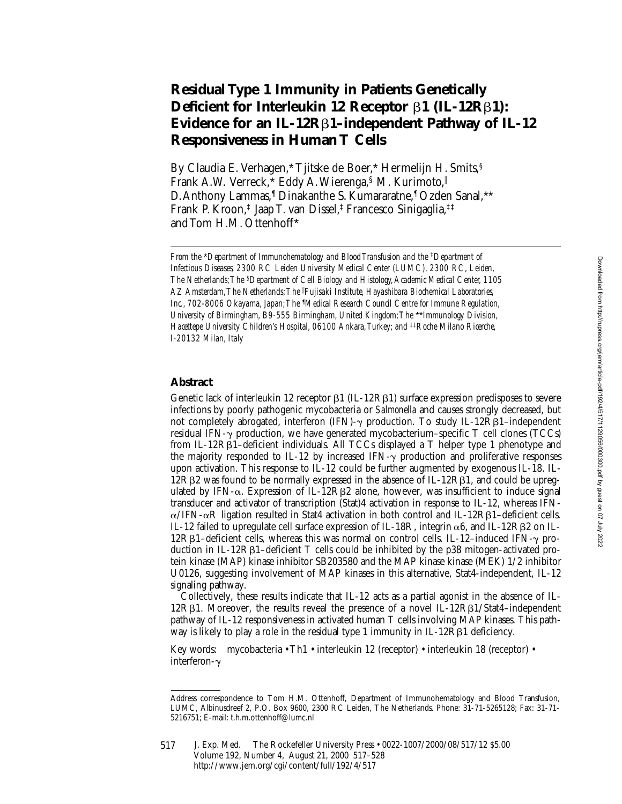# **Residual Type 1 Immunity in Patients Genetically Deficient for Interleukin 12 Receptor** b**1 (IL-12R**b**1): Evidence for an IL-12R**b**1–independent Pathway of IL-12 Responsiveness in Human T Cells**

By Claudia E. Verhagen,\* Tjitske de Boer,\* Hermelijn H. Smits,§ Frank A.W. Verreck,\* Eddy A. Wierenga, § M. Kurimoto, D. Anthony Lammas,¶ Dinakanthe S. Kumararatne,¶ Ozden Sanal,\*\* Frank P. Kroon,‡ Jaap T. van Dissel,‡ Francesco Sinigaglia,‡‡ and Tom H.M. Ottenhoff\*

# **Abstract**

Genetic lack of interleukin 12 receptor  $\beta1$  (IL-12R $\beta1$ ) surface expression predisposes to severe infections by poorly pathogenic mycobacteria or *Salmonella* and causes strongly decreased, but not completely abrogated, interferon (IFN)- $\gamma$  production. To study IL-12R $\beta$ 1-independent residual IFN- $\gamma$  production, we have generated mycobacterium–specific T cell clones (TCCs) from IL-12R $\beta$ 1–deficient individuals. All TCCs displayed a T helper type 1 phenotype and the majority responded to IL-12 by increased IFN- $\gamma$  production and proliferative responses upon activation. This response to IL-12 could be further augmented by exogenous IL-18. IL- $12R\beta2$  was found to be normally expressed in the absence of IL-12R $\beta1$ , and could be upregulated by IFN- $\alpha$ . Expression of IL-12RB2 alone, however, was insufficient to induce signal transducer and activator of transcription (Stat)4 activation in response to IL-12, whereas IFN- $\alpha$ /IFN- $\alpha$ R ligation resulted in Stat4 activation in both control and IL-12Rβ1–deficient cells. IL-12 failed to upregulate cell surface expression of IL-18R, integrin  $\alpha$ 6, and IL-12RB2 on IL- $12RB1$ –deficient cells, whereas this was normal on control cells. IL-12–induced IFN- $\gamma$  production in IL-12Rβ1–deficient T cells could be inhibited by the p38 mitogen-activated protein kinase (MAP) kinase inhibitor SB203580 and the MAP kinase kinase (MEK) 1/2 inhibitor U0126, suggesting involvement of MAP kinases in this alternative, Stat4-independent, IL-12 signaling pathway.

Collectively, these results indicate that IL-12 acts as a partial agonist in the absence of IL- $12R\beta1$ . Moreover, the results reveal the presence of a novel IL-12R $\beta1/S$ tat4–independent pathway of IL-12 responsiveness in activated human T cells involving MAP kinases. This pathway is likely to play a role in the residual type 1 immunity in  $IL-12R\beta1$  deficiency.

Key words: mycobacteria • Th1 • interleukin 12 (receptor) • interleukin 18 (receptor) • interferon- $\gamma$ 

*From the \*Department of Immunohematology and Blood Transfusion and the <sup>‡</sup>Department of Infectious Diseases, 2300 RC Leiden University Medical Center (LUMC), 2300 RC, Leiden, The Netherlands; The* §*Department of Cell Biology and Histology, Academic Medical Center, 1105 AZ Amsterdam, The Netherlands; The* <sup>i</sup> *Fujisaki Institute, Hayashibara Biochemical Laboratories, Inc., 702-8006 Okayama, Japan; The* ¶ *Medical Research Council Centre for Immune Regulation, University of Birmingham, B9-555 Birmingham, United Kingdom; The* \*\**Immunology Division, Hacettepe University Children's Hospital, 06100 Ankara, Turkey; and* ‡‡*Roche Milano Ricerche, I-20132 Milan, Italy*

Address correspondence to Tom H.M. Ottenhoff, Department of Immunohematology and Blood Transfusion, LUMC, Albinusdreef 2, P.O. Box 9600, 2300 RC Leiden, The Netherlands. Phone: 31-71-5265128; Fax: 31-71- 5216751; E-mail: t.h.m.ottenhoff@lumc.nl

J. Exp. Med. The Rockefeller University Press • 0022-1007/2000/08/517/12 \$5.00 Volume 192, Number 4, August 21, 2000 517–528 http://www.jem.org/cgi/content/full/192/4/517 517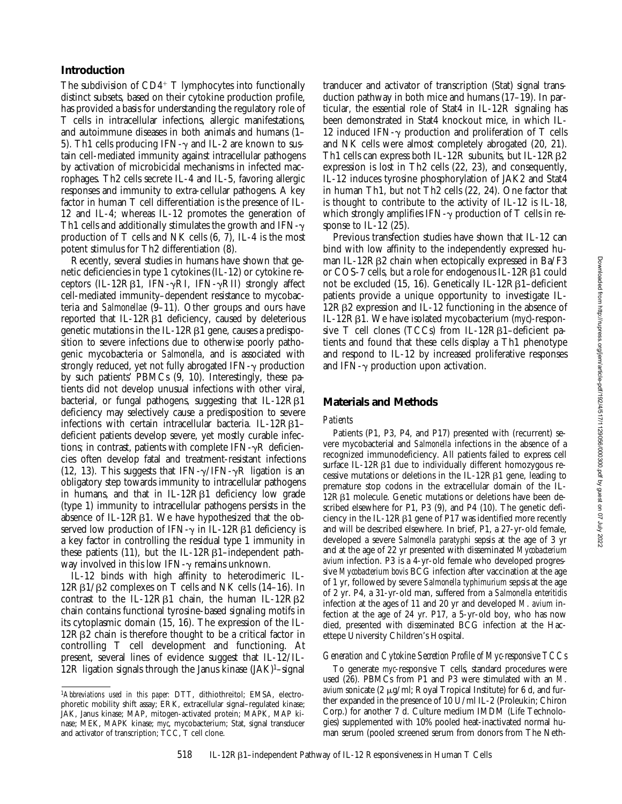# **Introduction**

The subdivision of  $CD4^+$  T lymphocytes into functionally distinct subsets, based on their cytokine production profile, has provided a basis for understanding the regulatory role of T cells in intracellular infections, allergic manifestations, and autoimmune diseases in both animals and humans (1– 5). Th1 cells producing IFN- $\gamma$  and IL-2 are known to sustain cell-mediated immunity against intracellular pathogens by activation of microbicidal mechanisms in infected macrophages. Th2 cells secrete IL-4 and IL-5, favoring allergic responses and immunity to extra-cellular pathogens. A key factor in human T cell differentiation is the presence of IL-12 and IL-4; whereas IL-12 promotes the generation of Th1 cells and additionally stimulates the growth and IFN- $\gamma$ production of T cells and NK cells (6, 7), IL-4 is the most potent stimulus for Th2 differentiation (8).

Recently, several studies in humans have shown that genetic deficiencies in type 1 cytokines (IL-12) or cytokine receptors (IL-12R $\beta$ 1, IFN- $\gamma$ RI, IFN- $\gamma$ RII) strongly affect cell-mediated immunity–dependent resistance to mycobacteria and *Salmonellae* (9–11). Other groups and ours have reported that IL-12R<sub>B1</sub> deficiency, caused by deleterious genetic mutations in the IL-12Rb1 gene, causes a predisposition to severe infections due to otherwise poorly pathogenic mycobacteria or *Salmonella*, and is associated with strongly reduced, yet not fully abrogated  $IFN-\gamma$  production by such patients' PBMCs (9, 10). Interestingly, these patients did not develop unusual infections with other viral, bacterial, or fungal pathogens, suggesting that  $IL-12R\beta1$ deficiency may selectively cause a predisposition to severe infections with certain intracellular bacteria. IL-12R $\beta$ 1deficient patients develop severe, yet mostly curable infections; in contrast, patients with complete IFN- $\gamma$ R deficiencies often develop fatal and treatment-resistant infections (12, 13). This suggests that IFN- $\gamma$ /IFN- $\gamma$ R ligation is an obligatory step towards immunity to intracellular pathogens in humans, and that in  $IL-12R\beta1$  deficiency low grade (type 1) immunity to intracellular pathogens persists in the absence of IL-12 $R\beta1$ . We have hypothesized that the observed low production of IFN- $\gamma$  in IL-12R $\beta$ 1 deficiency is a key factor in controlling the residual type 1 immunity in these patients  $(11)$ , but the IL-12R $\beta$ 1-independent pathway involved in this low IFN- $\gamma$  remains unknown.

IL-12 binds with high affinity to heterodimeric IL- $12R\beta1/\beta2$  complexes on T cells and NK cells (14–16). In contrast to the IL-12R $\beta$ 1 chain, the human IL-12R $\beta$ 2 chain contains functional tyrosine-based signaling motifs in its cytoplasmic domain (15, 16). The expression of the IL- $12R\beta2$  chain is therefore thought to be a critical factor in controlling T cell development and functioning. At present, several lines of evidence suggest that IL-12/IL-12R ligation signals through the Janus kinase  $(JAK)^1$ -signal

tranducer and activator of transcription (Stat) signal transduction pathway in both mice and humans (17–19). In particular, the essential role of Stat4 in IL-12R signaling has been demonstrated in Stat4 knockout mice, in which IL-12 induced IFN- $\gamma$  production and proliferation of T cells and NK cells were almost completely abrogated (20, 21). Th1 cells can express both IL-12 $\overline{R}$  subunits, but IL-12 $R\beta$ 2 expression is lost in Th2 cells (22, 23), and consequently, IL-12 induces tyrosine phosphorylation of JAK2 and Stat4 in human Th1, but not Th2 cells (22, 24). One factor that is thought to contribute to the activity of IL-12 is IL-18, which strongly amplifies IFN- $\gamma$  production of T cells in response to IL-12  $(25)$ .

Previous transfection studies have shown that IL-12 can bind with low affinity to the independently expressed human IL-12 $R\beta$ 2 chain when ectopically expressed in Ba/F3 or COS-7 cells, but a role for endogenous IL-12RB1 could not be excluded (15, 16). Genetically IL-12RB1-deficient patients provide a unique opportunity to investigate IL- $12R\beta2$  expression and IL-12 functioning in the absence of IL-12Rb1. We have isolated mycobacterium (*myc*)*-*responsive T cell clones (TCCs) from IL-12R $\beta$ 1-deficient patients and found that these cells display a Th1 phenotype and respond to IL-12 by increased proliferative responses and IFN- $\gamma$  production upon activation.

## **Materials and Methods**

#### *Patients*

Patients (P1, P3, P4, and P17) presented with (recurrent) severe mycobacterial and *Salmonella* infections in the absence of a recognized immunodeficiency. All patients failed to express cell surface IL-12 $R\beta1$  due to individually different homozygous recessive mutations or deletions in the  $IL-12R\beta1$  gene, leading to premature stop codons in the extracellular domain of the IL-12RB1 molecule. Genetic mutations or deletions have been described elsewhere for P1, P3 (9), and P4 (10). The genetic deficiency in the IL-12R $\beta$ 1 gene of P17 was identified more recently and will be described elsewhere. In brief, P1, a 27-yr-old female, developed a severe *Salmonella paratyphi* sepsis at the age of 3 yr and at the age of 22 yr presented with disseminated *Mycobacterium avium* infection. P3 is a 4-yr-old female who developed progressive *Mycobacterium bovis* BCG infection after vaccination at the age of 1 yr, followed by severe *Salmonella typhimurium* sepsis at the age of 2 yr. P4, a 31-yr-old man, suffered from a *Salmonella enteritidis* infection at the ages of 11 and 20 yr and developed *M*. *avium* infection at the age of 24 yr. P17, a 5-yr-old boy, who has now died, presented with disseminated BCG infection at the Hacettepe University Children's Hospital.

## *Generation and Cytokine Secretion Profile of Myc-responsive TCCs*

To generate *myc*-responsive T cells, standard procedures were used (26). PBMCs from P1 and P3 were stimulated with an *M*. *avium* sonicate (2 µg/ml; Royal Tropical Institute) for 6 d, and further expanded in the presence of 10 U/ml IL-2 (Proleukin; Chiron Corp.) for another 7 d. Culture medium IMDM (Life Technologies) supplemented with 10% pooled heat-inactivated normal human serum (pooled screened serum from donors from The Neth-

<sup>1</sup>*Abbreviations used in this paper:* DTT, dithiothreitol; EMSA, electrophoretic mobility shift assay; ERK, extracellular signal–regulated kinase; JAK, Janus kinase; MAP, mitogen-activated protein; MAPK, MAP kinase; MEK, MAPK kinase; *myc*, mycobacterium; Stat, signal transducer and activator of transcription; TCC, T cell clone.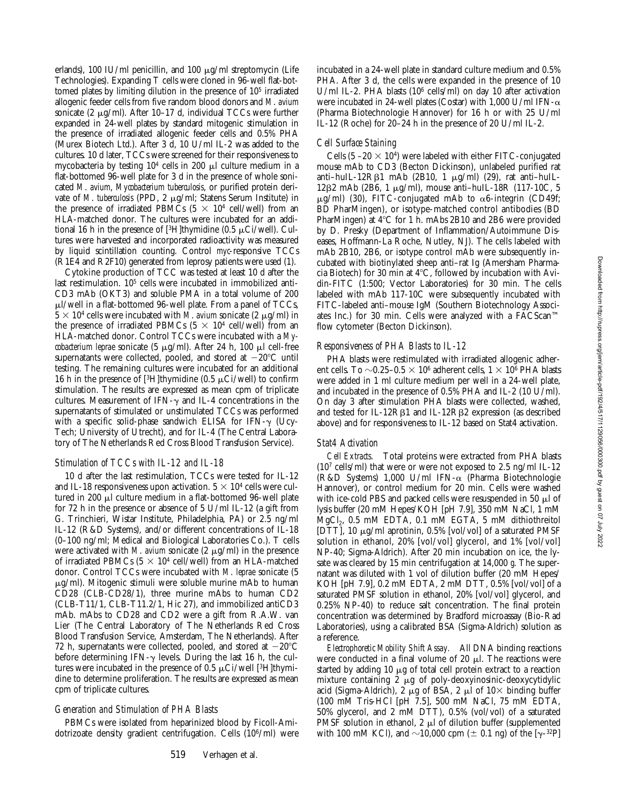Downloaded from http://rupress.org/jem/article-pdf/192/4/517/1129056/000300.pdf by guest on 07 July 2022 Downloaded from http://rupress.org/jem/article-pdf/192/4/517/1129056/000300.pdf by guest on 07 July 2022

erlands), 100 IU/ml penicillin, and 100  $\mu$ g/ml streptomycin (Life Technologies). Expanding T cells were cloned in 96-well flat-bottomed plates by limiting dilution in the presence of 105 irradiated allogenic feeder cells from five random blood donors and *M*. *avium* sonicate (2  $\mu$ g/ml). After 10–17 d, individual TCCs were further expanded in 24-well plates by standard mitogenic stimulation in the presence of irradiated allogenic feeder cells and 0.5% PHA (Murex Biotech Ltd.). After 3 d, 10 U/ml IL-2 was added to the cultures. 10 d later, TCCs were screened for their responsiveness to mycobacteria by testing  $10<sup>4</sup>$  cells in 200  $\mu$ l culture medium in a flat-bottomed 96-well plate for 3 d in the presence of whole sonicated *M*. *avium*, *Mycobacterium tuberculosis*, or purified protein derivate of *M*. *tuberculosis* (PPD, 2 mg/ml; Statens Serum Institute) in the presence of irradiated PBMCs  $(5 \times 10^4 \text{ cell/well})$  from an HLA-matched donor. The cultures were incubated for an additional 16 h in the presence of [3H]thymidine (0.5  $\mu$ Ci/well). Cultures were harvested and incorporated radioactivity was measured by liquid scintillation counting. Control *myc*-responsive TCCs (R1E4 and R2F10) generated from leprosy patients were used (1).

Cytokine production of TCC was tested at least 10 d after the last restimulation. 105 cells were incubated in immobilized anti-CD3 mAb (OKT3) and soluble PMA in a total volume of 200  $\mu$ l/well in a flat-bottomed 96-well plate. From a panel of TCCs,  $5 \times 10^4$  cells were incubated with *M*. avium sonicate (2  $\mu$ g/ml) in the presence of irradiated PBMCs  $(5 \times 10^4 \text{ cell/well})$  from an HLA-matched donor. Control TCCs were incubated with a *Mycobacterium leprae* sonicate (5  $\mu$ g/ml). After 24 h, 100  $\mu$ l cell-free supernatants were collected, pooled, and stored at  $-20^{\circ}$ C until testing. The remaining cultures were incubated for an additional 16 h in the presence of [<sup>3</sup>H]thymidine (0.5  $\mu$ Ci/well) to confirm stimulation. The results are expressed as mean cpm of triplicate cultures. Measurement of IFN- $\gamma$  and IL-4 concentrations in the supernatants of stimulated or unstimulated TCCs was performed with a specific solid-phase sandwich ELISA for IFN- $\gamma$  (Ucy-Tech; University of Utrecht), and for IL-4 (The Central Laboratory of The Netherlands Red Cross Blood Transfusion Service).

## *Stimulation of TCCs with IL-12 and IL-18*

10 d after the last restimulation, TCCs were tested for IL-12 and IL-18 responsiveness upon activation.  $5 \times 10^4$  cells were cultured in 200 µl culture medium in a flat-bottomed 96-well plate for 72 h in the presence or absence of 5 U/ml IL-12 (a gift from G. Trinchieri, Wistar Institute, Philadelphia, PA) or 2.5 ng/ml IL-12 (R&D Systems), and/or different concentrations of IL-18 (0–100 ng/ml; Medical and Biological Laboratories Co.). T cells were activated with  $M$ . avium sonicate (2  $\mu$ g/ml) in the presence of irradiated PBMCs ( $5 \times 10^4$  cell/well) from an HLA-matched donor. Control TCCs were incubated with *M*. *leprae* sonicate (5  $\mu$ g/ml). Mitogenic stimuli were soluble murine mAb to human CD28 (CLB-CD28/1), three murine mAbs to human CD2 (CLB-T11/1, CLB-T11.2/1, Hic 27), and immobilized antiCD3 mAb. mAbs to CD28 and CD2 were a gift from R.A.W. van Lier (The Central Laboratory of The Netherlands Red Cross Blood Transfusion Service, Amsterdam, The Netherlands). After 72 h, supernatants were collected, pooled, and stored at  $-20^{\circ}$ C before determining IFN- $\gamma$  levels. During the last 16 h, the cultures were incubated in the presence of  $0.5 \mu\text{Ci/well}$  [3H]thymidine to determine proliferation. The results are expressed as mean cpm of triplicate cultures.

#### *Generation and Stimulation of PHA Blasts*

PBMCs were isolated from heparinized blood by Ficoll-Amidotrizoate density gradient centrifugation. Cells (106/ml) were incubated in a 24-well plate in standard culture medium and 0.5% PHA. After 3 d, the cells were expanded in the presence of 10 U/ml IL-2. PHA blasts (106 cells/ml) on day 10 after activation were incubated in 24-well plates (Costar) with 1,000 U/ml IFN- $\alpha$ (Pharma Biotechnologie Hannover) for 16 h or with 25 U/ml IL-12 (Roche) for 20–24 h in the presence of 20 U/ml IL-2.

## *Cell Surface Staining*

Cells  $(5 - 20 \times 10^4)$  were labeled with either FITC-conjugated mouse mAb to CD3 (Becton Dickinson), unlabeled purified rat anti-huIL-12R $\beta$ 1 mAb (2B10, 1  $\mu$ g/ml) (29), rat anti-huIL-12β2 mAb (2B6, 1  $\mu$ g/ml), mouse anti-huIL-18R (117-10C, 5  $\mu$ g/ml) (30), FITC-conjugated mAb to  $\alpha$ 6-integrin (CD49f; BD PharMingen), or isotype-matched control antibodies (BD PharMingen) at  $4^{\circ}$ C for 1 h. mAbs 2B10 and 2B6 were provided by D. Presky (Department of Inflammation/Autoimmune Diseases, Hoffmann-La Roche, Nutley, NJ). The cells labeled with mAb 2B10, 2B6, or isotype control mAb were subsequently incubated with biotinylated sheep anti–rat Ig (Amersham Pharmacia Biotech) for 30 min at  $4^{\circ}$ C, followed by incubation with Avidin-FITC (1:500; Vector Laboratories) for 30 min. The cells labeled with mAb 117-10C were subsequently incubated with FITC-labeled anti–mouse IgM (Southern Biotechnology Associates Inc.) for 30 min. Cells were analyzed with a FACScan™ flow cytometer (Becton Dickinson).

## *Responsiveness of PHA Blasts to IL-12*

PHA blasts were restimulated with irradiated allogenic adherent cells. To  $\sim$ 0.25–0.5  $\times$  10<sup>6</sup> adherent cells, 1  $\times$  10<sup>6</sup> PHA blasts were added in 1 ml culture medium per well in a 24-well plate, and incubated in the presence of 0.5% PHA and IL-2 (10 U/ml). On day 3 after stimulation PHA blasts were collected, washed, and tested for IL-12R<sub>B1</sub> and IL-12R<sub>B2</sub> expression (as described above) and for responsiveness to IL-12 based on Stat4 activation.

#### *Stat4 Activation*

*Cell Extracts.* Total proteins were extracted from PHA blasts (107 cells/ml) that were or were not exposed to 2.5 ng/ml IL-12 (R&D Systems) 1,000 U/ml IFN-a (Pharma Biotechnologie Hannover), or control medium for 20 min. Cells were washed with ice-cold PBS and packed cells were resuspended in 50  $\mu$ l of lysis buffer (20 mM Hepes/KOH [pH 7.9], 350 mM NaCl, 1 mM MgCl2, 0.5 mM EDTA, 0.1 mM EGTA, 5 mM dithiothreitol [DTT], 10 µg/ml aprotinin, 0.5% [vol/vol] of a saturated PMSF solution in ethanol, 20% [vol/vol] glycerol, and 1% [vol/vol] NP-40; Sigma-Aldrich). After 20 min incubation on ice, the lysate was cleared by 15 min centrifugation at 14,000 *g*. The supernatant was diluted with 1 vol of dilution buffer (20 mM Hepes/ KOH [pH 7.9], 0.2 mM EDTA, 2 mM DTT, 0.5% [vol/vol] of a saturated PMSF solution in ethanol, 20% [vol/vol] glycerol, and 0.25% NP-40) to reduce salt concentration. The final protein concentration was determined by Bradford microassay (Bio-Rad Laboratories), using a calibrated BSA (Sigma-Aldrich) solution as a reference.

*Electrophoretic Mobility Shift Assay.* All DNA binding reactions were conducted in a final volume of 20  $\mu$ l. The reactions were started by adding  $10 \mu g$  of total cell protein extract to a reaction mixture containing  $2 \mu g$  of poly-deoxyinosinic-deoxycytidylic acid (Sigma-Aldrich), 2  $\mu$ g of BSA, 2  $\mu$ l of 10× binding buffer (100 mM Tris-HCl [pH 7.5], 500 mM NaCl, 75 mM EDTA, 50% glycerol, and 2 mM DTT), 0.5% (vol/vol) of a saturated PMSF solution in ethanol, 2  $\mu$ l of dilution buffer (supplemented with 100 mM KCl), and  $\sim$ 10,000 cpm ( $\pm$  0.1 ng) of the [ $\gamma$ -<sup>32</sup>P]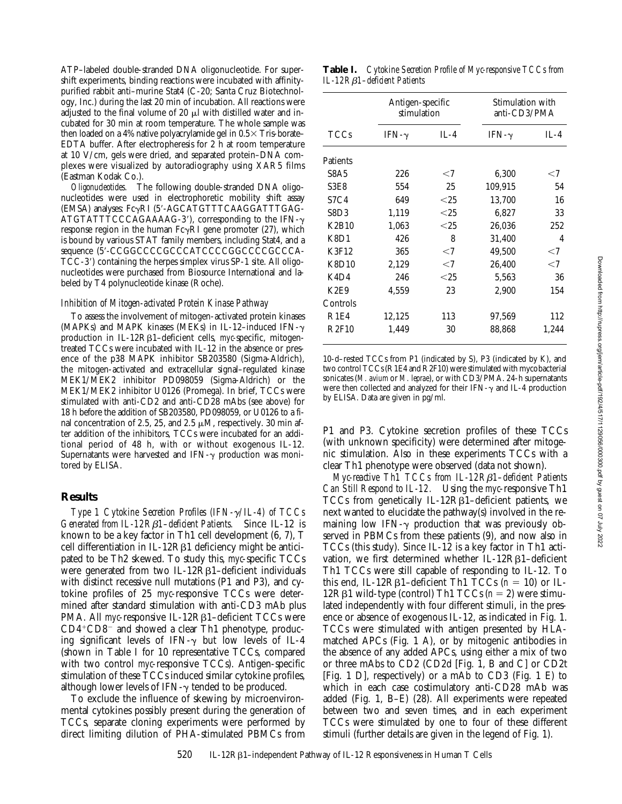ATP–labeled double-stranded DNA oligonucleotide. For supershift experiments, binding reactions were incubated with affinitypurified rabbit anti–murine Stat4 (C-20; Santa Cruz Biotechnology, Inc.) during the last 20 min of incubation. All reactions were adjusted to the final volume of 20  $\mu$ l with distilled water and incubated for 30 min at room temperature. The whole sample was then loaded on a 4% native polyacrylamide gel in  $0.5 \times$  Tris-borate– EDTA buffer. After electropheresis for 2 h at room temperature at 10 V/cm, gels were dried, and separated protein–DNA complexes were visualized by autoradiography using XAR5 films (Eastman Kodak Co.).

*Oligonucleotides.* The following double-stranded DNA oligonucleotides were used in electrophoretic mobility shift assay (EMSA) analyses: FcyRI (5'-AGCATGTTTCAAGGATTTGAG-ATGTATTTCCCAGAAAAG-3'), corresponding to the IFN- $\gamma$ response region in the human  $Fc\gamma RI$  gene promoter (27), which is bound by various STAT family members, including Stat4, and a sequence (5'-CCGGCCCCGCCCATCCCCGGCCCCCCCA- $TCC-3'$ ) containing the herpes simplex virus  $SP-1$  site. All oligonucleotides were purchased from Biosource International and labeled by T4 polynucleotide kinase (Roche).

#### *Inhibition of Mitogen-activated Protein Kinase Pathway*

To assess the involvement of mitogen-activated protein kinases (MAPKs) and MAPK kinases (MEKs) in IL-12-induced IFN- $\gamma$ production in IL-12Rb1–deficient cells, *myc-*specific, mitogentreated TCCs were incubated with IL-12 in the absence or presence of the p38 MAPK inhibitor SB203580 (Sigma-Aldrich), the mitogen-activated and extracellular signal–regulated kinase MEK1/MEK2 inhibitor PD098059 (Sigma-Aldrich) or the MEK1/MEK2 inhibitor U0126 (Promega). In brief, TCCs were stimulated with anti-CD2 and anti-CD28 mAbs (see above) for 18 h before the addition of SB203580, PD098059, or U0126 to a final concentration of 2.5, 25, and 2.5  $\mu$ M, respectively. 30 min after addition of the inhibitors, TCCs were incubated for an additional period of 48 h, with or without exogenous IL-12. Supernatants were harvested and IFN- $\gamma$  production was monitored by ELISA.

## **Results**

*Type 1 Cytokine Secretion Profiles (IFN-*g*/IL-4) of TCCs Generated from IL-12R*b*1–deficient Patients.* Since IL-12 is known to be a key factor in Th1 cell development (6, 7), T cell differentiation in IL-12R $\beta$ 1 deficiency might be anticipated to be Th2 skewed. To study this, *myc*-specific TCCs were generated from two IL-12R<sub>B1</sub>-deficient individuals with distinct recessive null mutations (P1 and P3), and cytokine profiles of 25 *myc*-responsive TCCs were determined after standard stimulation with anti-CD3 mAb plus PMA. All *myc*-responsive IL-12R<sub>B1</sub>-deficient TCCs were  $CD4+CD8$ <sup>-</sup> and showed a clear Th1 phenotype, producing significant levels of IFN- $\gamma$  but low levels of IL-4 (shown in Table I for 10 representative TCCs, compared with two control *myc*-responsive TCCs). Antigen-specific stimulation of these TCCs induced similar cytokine profiles, although lower levels of  $IFN-\gamma$  tended to be produced.

To exclude the influence of skewing by microenvironmental cytokines possibly present during the generation of TCCs, separate cloning experiments were performed by direct limiting dilution of PHA-stimulated PBMCs from

**Table I.** *Cytokine Secretion Profile of Myc-responsive TCCs from IL-12R*b*1–deficient Patients*

| TCCs                          | Antigen-specific<br>stimulation |         | Stimulation with<br>anti-CD3/PMA |        |
|-------------------------------|---------------------------------|---------|----------------------------------|--------|
|                               | IFN- $\gamma$                   | $IL-4$  | IFN- $\gamma$                    | $IL-4$ |
| <b>Patients</b>               |                                 |         |                                  |        |
| S8A5                          | 226                             | ${<}7$  | 6,300                            | $<$ 7  |
| S3E8                          | 554                             | 25      | 109,915                          | 54     |
| S <sub>7</sub> C <sub>4</sub> | 649                             | $<$ 2.5 | 13,700                           | 16     |
| S8D3                          | 1,119                           | $<$ 2.5 | 6,827                            | 33     |
| K2B10                         | 1,063                           | $<$ 2.5 | 26,036                           | 252    |
| K8D1                          | 426                             | 8       | 31.400                           | 4      |
| <b>K3F12</b>                  | 365                             | $<$ 7   | 49,500                           | $<$ 7  |
| <b>K8D10</b>                  | 2,129                           | $<$ 7   | 26.400                           | $<$ 7  |
| K <sub>4</sub> D <sub>4</sub> | 246                             | $<$ 2.5 | 5,563                            | 36     |
| K2E9                          | 4,559                           | 23      | 2,900                            | 154    |
| Controls                      |                                 |         |                                  |        |
| R1E4                          | 12,125                          | 113     | 97,569                           | 112    |
| R2F10                         | 1,449                           | 30      | 88,868                           | 1,244  |

10-d–rested TCCs from P1 (indicated by S), P3 (indicated by K), and two control TCCs (R1E4 and R2F10) were stimulated with mycobacterial sonicates (*M. avium* or *M. leprae*), or with CD3/PMA. 24-h supernatants were then collected and analyzed for their IFN- $\gamma$  and IL-4 production by ELISA. Data are given in pg/ml.

P1 and P3. Cytokine secretion profiles of these TCCs (with unknown specificity) were determined after mitogenic stimulation. Also in these experiments TCCs with a clear Th1 phenotype were observed (data not shown).

*Myc-reactive Th1 TCCs from IL-12R*b*1–deficient Patients Can Still Respond to IL-12.* Using the *myc*-responsive Th1 TCCs from genetically IL-12R $\beta$ 1-deficient patients, we next wanted to elucidate the pathway(s) involved in the remaining low IFN- $\gamma$  production that was previously observed in PBMCs from these patients (9), and now also in TCCs (this study). Since IL-12 is a key factor in Th1 activation, we first determined whether  $IL-12R\beta1$ –deficient Th1 TCCs were still capable of responding to IL-12. To this end, IL-12R $\beta$ 1–deficient Th1 TCCs ( $n = 10$ ) or IL-12R $\beta$ 1 wild-type (control) Th1 TCCs ( $n = 2$ ) were stimulated independently with four different stimuli, in the presence or absence of exogenous IL-12, as indicated in Fig. 1. TCCs were stimulated with antigen presented by HLAmatched APCs (Fig. 1 A), or by mitogenic antibodies in the absence of any added APCs, using either a mix of two or three mAbs to CD2 (CD2d [Fig. 1, B and C] or CD2t [Fig. 1 D], respectively) or a mAb to CD3 (Fig. 1 E) to which in each case costimulatory anti-CD28 mAb was added (Fig. 1, B–E) (28). All experiments were repeated between two and seven times, and in each experiment TCCs were stimulated by one to four of these different stimuli (further details are given in the legend of Fig. 1).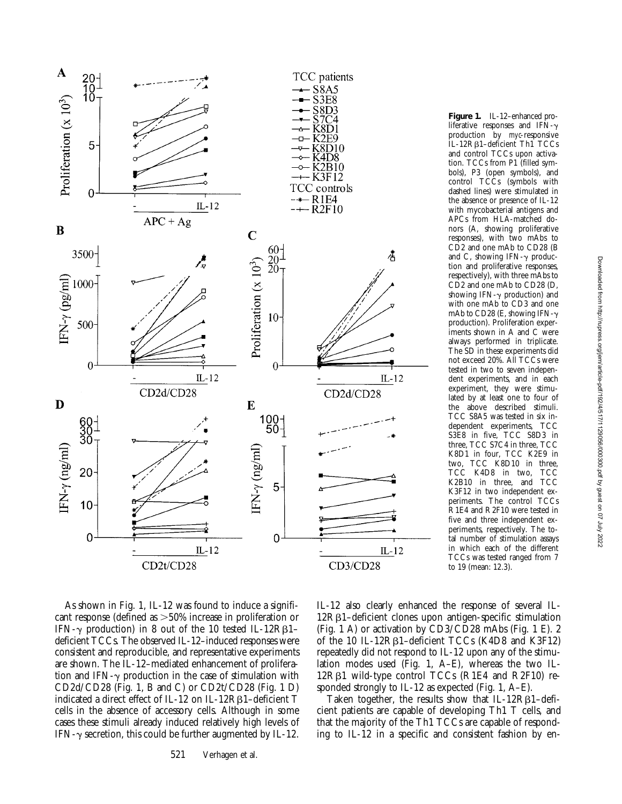

**Figure 1.** IL-12–enhanced proliferative responses and IFN- $\gamma$ production by *myc*-responsive IL-12Rb1–deficient Th1 TCCs and control TCCs upon activation. TCCs from P1 (filled symbols), P3 (open symbols), and control TCCs (symbols with dashed lines) were stimulated in the absence or presence of IL-12 with mycobacterial antigens and APCs from HLA-matched donors (A, showing proliferative responses), with two mAbs to CD2 and one mAb to CD28 (B and C, showing IFN- $\gamma$  production and proliferative responses, respectively), with three mAbs to CD<sub>2</sub> and one mAb to CD<sub>28</sub> (D, showing IFN- $\gamma$  production) and with one mAb to CD3 and one mAb to CD28 (E, showing IFN- $\gamma$ production). Proliferation experiments shown in A and C were always performed in triplicate. The SD in these experiments did not exceed 20%. All TCCs were tested in two to seven independent experiments, and in each experiment, they were stimulated by at least one to four of the above described stimuli. TCC S8A5 was tested in six independent experiments, TCC S3E8 in five, TCC S8D3 in three, TCC S7C4 in three, TCC K8D1 in four, TCC K2E9 in two, TCC K8D10 in three, TCC K4D8 in two, TCC<br>K2B10 in three, and TCC K2B10 in three, and K3F12 in two independent experiments. The control TCCs R1E4 and R2F10 were tested in five and three independent experiments, respectively. The total number of stimulation assays in which each of the different TCCs was tested ranged from 7 to 19 (mean: 12.3).

As shown in Fig. 1, IL-12 was found to induce a significant response (defined as  $>50\%$  increase in proliferation or IFN- $\gamma$  production) in 8 out of the 10 tested IL-12R $\beta$ 1– deficient TCCs. The observed IL-12–induced responses were consistent and reproducible, and representative experiments are shown. The IL-12–mediated enhancement of proliferation and IFN- $\gamma$  production in the case of stimulation with CD2d/CD28 (Fig. 1, B and C) or CD2t/CD28 (Fig. 1 D) indicated a direct effect of IL-12 on IL-12Rb1–deficient T cells in the absence of accessory cells. Although in some cases these stimuli already induced relatively high levels of IFN- $\gamma$  secretion, this could be further augmented by IL-12.

IL-12 also clearly enhanced the response of several IL-12Rb1–deficient clones upon antigen-specific stimulation (Fig. 1 A) or activation by CD3/CD28 mAbs (Fig. 1 E). 2 of the 10 IL-12R<sub>B1</sub>-deficient TCCs (K4D8 and K3F12) repeatedly did not respond to IL-12 upon any of the stimulation modes used (Fig. 1, A–E), whereas the two IL-12Rb1 wild-type control TCCs (R1E4 and R2F10) responded strongly to IL-12 as expected (Fig. 1, A–E).

Taken together, the results show that IL-12R $\beta$ 1-deficient patients are capable of developing Th1 T cells, and that the majority of the Th1 TCCs are capable of responding to IL-12 in a specific and consistent fashion by en-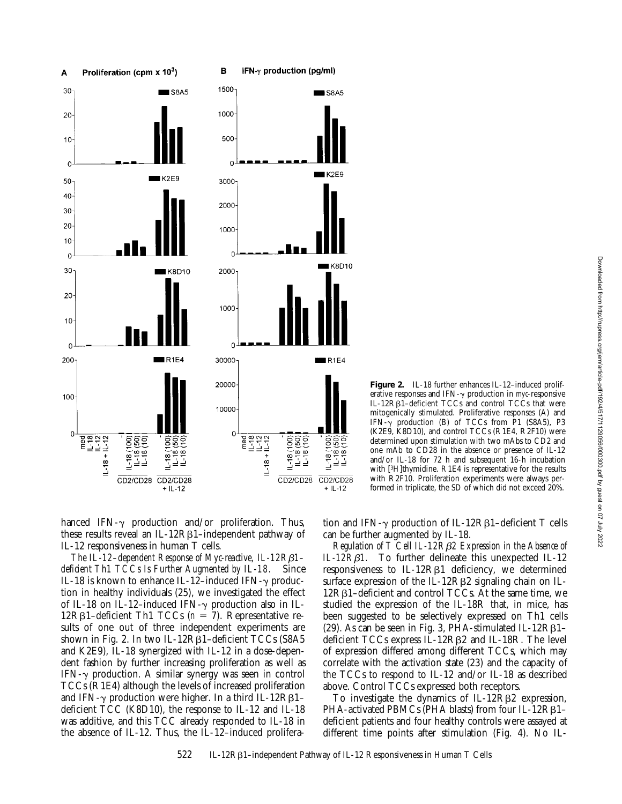

Figure 2. IL-18 further enhances IL-12-induced proliferative responses and IFN- $\gamma$  production in *myc*-responsive  $IL-12R\beta1$ –deficient TCCs and control TCCs that were mitogenically stimulated. Proliferative responses (A) and IFN- $\gamma$  production (B) of TCCs from P1 (S8A5), P3 (K2E9, K8D10), and control TCCs (R1E4, R2F10) were determined upon stimulation with two mAbs to CD2 and one mAb to CD28 in the absence or presence of IL-12 and/or IL-18 for 72 h and subsequent 16-h incubation with [<sup>3</sup>H]thymidine. R1E4 is representative for the results with R2F10. Proliferation experiments were always performed in triplicate, the SD of which did not exceed 20%.

hanced IFN- $\gamma$  production and/or proliferation. Thus, these results reveal an IL-12R $\beta$ 1–independent pathway of IL-12 responsiveness in human T cells.

*The IL-12–dependent Response of Myc-reactive, IL-12R*b*1– deficient Th1 TCCs Is Further Augmented by IL-18.* Since IL-18 is known to enhance IL-12-induced IFN- $\gamma$  production in healthy individuals (25), we investigated the effect of IL-18 on IL-12-induced IFN- $\gamma$  production also in IL-12R $\beta$ 1–deficient Th1 TCCs ( $n = 7$ ). Representative results of one out of three independent experiments are shown in Fig. 2. In two IL-12R $\beta$ 1-deficient TCCs (S8A5 and K2E9), IL-18 synergized with IL-12 in a dose-dependent fashion by further increasing proliferation as well as IFN- $\gamma$  production. A similar synergy was seen in control TCCs (R1E4) although the levels of increased proliferation and IFN- $\gamma$  production were higher. In a third IL-12R $\beta$ 1– deficient TCC (K8D10), the response to IL-12 and IL-18 was additive, and this TCC already responded to IL-18 in the absence of IL-12. Thus, the IL-12–induced prolifera-

tion and IFN- $\gamma$  production of IL-12R $\beta$ 1–deficient T cells can be further augmented by IL-18.

*Regulation of T Cell IL-12R*b*2 Expression in the Absence of IL-12R*b*1.* To further delineate this unexpected IL-12 responsiveness to IL-12R $\beta$ 1 deficiency, we determined surface expression of the IL-12R $\beta$ 2 signaling chain on IL- $12R\beta1$ –deficient and control TCCs. At the same time, we studied the expression of the IL-18R that, in mice, has been suggested to be selectively expressed on Th1 cells (29). As can be seen in Fig. 3, PHA-stimulated IL-12R $\beta$ 1– deficient TCCs express IL-12Rb2 and IL-18R. The level of expression differed among different TCCs, which may correlate with the activation state (23) and the capacity of the TCCs to respond to IL-12 and/or IL-18 as described above. Control TCCs expressed both receptors.

To investigate the dynamics of  $IL-12R\beta2$  expression, PHA-activated PBMCs (PHA blasts) from four IL-12RB1deficient patients and four healthy controls were assayed at different time points after stimulation (Fig. 4). No IL-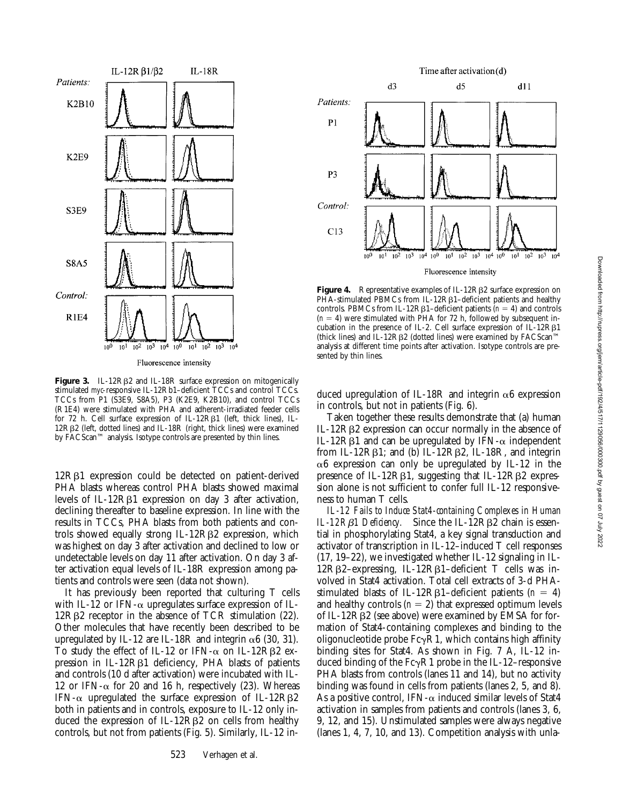

**Figure 3.** IL-12R<sub>B2</sub> and IL-18R surface expression on mitogenically stimulated *myc*-responsive IL-12Rb1–deficient TCCs and control TCCs. TCCs from P1 (S3E9, S8A5), P3 (K2E9, K2B10), and control TCCs (R1E4) were stimulated with PHA and adherent-irradiated feeder cells for 72 h. Cell surface expression of IL-12R $\beta$ 1 (left, thick lines), IL-12RB2 (left, dotted lines) and IL-18R (right, thick lines) were examined by FACScan™ analysis. Isotype controls are presented by thin lines.

12Rb1 expression could be detected on patient-derived PHA blasts whereas control PHA blasts showed maximal levels of IL-12Rβ1 expression on day 3 after activation, declining thereafter to baseline expression. In line with the results in TCCs, PHA blasts from both patients and controls showed equally strong IL-12RB2 expression, which was highest on day 3 after activation and declined to low or undetectable levels on day 11 after activation. On day 3 after activation equal levels of IL-18R expression among patients and controls were seen (data not shown).

It has previously been reported that culturing T cells with IL-12 or IFN- $\alpha$  upregulates surface expression of IL-12Rb2 receptor in the absence of TCR stimulation (22). Other molecules that have recently been described to be upregulated by IL-12 are IL-18R and integrin  $\alpha$ 6 (30, 31). To study the effect of IL-12 or IFN- $\alpha$  on IL-12RB2 expression in IL-12R $\beta$ 1 deficiency, PHA blasts of patients and controls (10 d after activation) were incubated with IL-12 or IFN- $\alpha$  for 20 and 16 h, respectively (23). Whereas IFN- $\alpha$  upregulated the surface expression of IL-12RB2 both in patients and in controls, exposure to IL-12 only induced the expression of  $IL-12R\beta2$  on cells from healthy controls, but not from patients (Fig. 5). Similarly, IL-12 in-



Fluorescence intensity

Figure 4. Representative examples of IL-12R<sub>B2</sub> surface expression on  $PHA$ -stimulated PBMCs from IL-12R $\beta$ 1–deficient patients and healthy controls. PBMCs from IL-12R $\beta$ 1–deficient patients ( $n = 4$ ) and controls  $(n = 4)$  were stimulated with PHA for 72 h, followed by subsequent incubation in the presence of IL-2. Cell surface expression of IL-12R $\beta$ 1 (thick lines) and IL-12RB2 (dotted lines) were examined by  $FACS can^{\text{TM}}$ analysis at different time points after activation. Isotype controls are presented by thin lines.

duced upregulation of IL-18R and integrin  $\alpha$ 6 expression in controls, but not in patients (Fig. 6).

Taken together these results demonstrate that (a) human IL-12Rb2 expression can occur normally in the absence of IL-12R $\beta$ 1 and can be upregulated by IFN- $\alpha$  independent from IL-12 $R\beta$ 1; and (b) IL-12 $R\beta$ 2, IL-18 $R$ , and integrin  $\alpha$ 6 expression can only be upregulated by IL-12 in the presence of IL-12R $\beta$ 1, suggesting that IL-12R $\beta$ 2 expression alone is not sufficient to confer full IL-12 responsiveness to human T cells.

*IL-12 Fails to Induce Stat4-containing Complexes in Human IL-12RB1 Deficiency.* Since the IL-12RB2 chain is essential in phosphorylating Stat4, a key signal transduction and activator of transcription in IL-12–induced T cell responses (17, 19–22), we investigated whether IL-12 signaling in IL-12Rb2–expressing, IL-12Rb1–deficient T cells was involved in Stat4 activation. Total cell extracts of 3-d PHAstimulated blasts of IL-12R $\beta$ 1–deficient patients (*n* = 4) and healthy controls  $(n = 2)$  that expressed optimum levels of IL-12Rb2 (see above) were examined by EMSA for formation of Stat4-containing complexes and binding to the oligonucleotide probe  $Fc\gamma R1$ , which contains high affinity binding sites for Stat4. As shown in Fig. 7 A, IL-12 induced binding of the  $Fc\gamma R1$  probe in the IL-12–responsive PHA blasts from controls (lanes 11 and 14), but no activity binding was found in cells from patients (lanes 2, 5, and 8). As a positive control, IFN- $\alpha$  induced similar levels of Stat4 activation in samples from patients and controls (lanes 3, 6, 9, 12, and 15). Unstimulated samples were always negative (lanes 1, 4, 7, 10, and 13). Competition analysis with unla-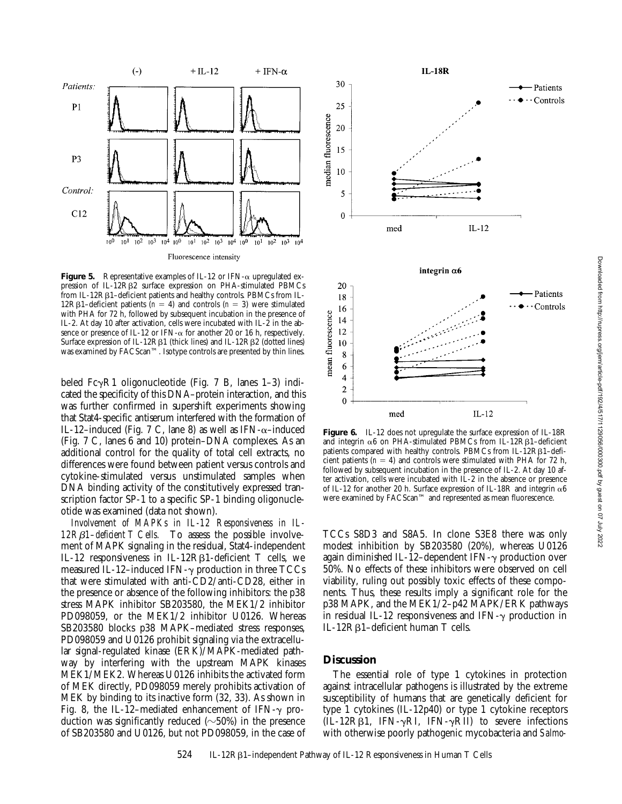

**Figure 5.** Representative examples of IL-12 or IFN- $\alpha$  upregulated expression of IL-12RB2 surface expression on PHA-stimulated PBMCs from IL-12Rb1–deficient patients and healthy controls. PBMCs from IL-12R $\beta$ 1–deficient patients (*n* = 4) and controls (*n* = 3) were stimulated with PHA for 72 h, followed by subsequent incubation in the presence of IL-2. At day 10 after activation, cells were incubated with IL-2 in the absence or presence of IL-12 or IFN- $\alpha$  for another 20 or 16 h, respectively. Surface expression of IL-12R $\beta$ 1 (thick lines) and IL-12R $\beta$ 2 (dotted lines) was examined by FACScan™. Isotype controls are presented by thin lines.

beled  $Fc\gamma R1$  oligonucleotide (Fig. 7 B, lanes 1–3) indicated the specificity of this DNA–protein interaction, and this was further confirmed in supershift experiments showing that Stat4-specific antiserum interfered with the formation of IL-12-induced (Fig. 7 C, lane 8) as well as IFN- $\alpha$ -induced (Fig. 7 C, lanes 6 and 10) protein–DNA complexes. As an additional control for the quality of total cell extracts, no differences were found between patient versus controls and cytokine-stimulated versus unstimulated samples when DNA binding activity of the constitutively expressed transcription factor SP-1 to a specific SP-1 binding oligonucleotide was examined (data not shown).

*Involvement of MAPKs in IL-12 Responsiveness in IL-12R*b*1–deficient T Cells.* To assess the possible involvement of MAPK signaling in the residual, Stat4-independent IL-12 responsiveness in IL-12R $\beta$ 1-deficient T cells, we measured IL-12–induced IFN- $\gamma$  production in three TCCs that were stimulated with anti-CD2/anti-CD28, either in the presence or absence of the following inhibitors: the p38 stress MAPK inhibitor SB203580, the MEK1/2 inhibitor PD098059, or the MEK1/2 inhibitor U0126. Whereas SB203580 blocks p38 MAPK–mediated stress responses, PD098059 and U0126 prohibit signaling via the extracellular signal-regulated kinase (ERK)/MAPK-mediated pathway by interfering with the upstream MAPK kinases MEK1/MEK2. Whereas U0126 inhibits the activated form of MEK directly, PD098059 merely prohibits activation of MEK by binding to its inactive form (32, 33). As shown in Fig. 8, the IL-12-mediated enhancement of IFN- $\gamma$  production was significantly reduced  $(\sim 50\%)$  in the presence of SB203580 and U0126, but not PD098059, in the case of



Figure 6. IL-12 does not upregulate the surface expression of IL-18R and integrin  $\alpha$ 6 on PHA-stimulated PBMCs from IL-12R $\beta$ 1-deficient patients compared with healthy controls. PBMCs from IL-12Rβ1-deficient patients  $(n = 4)$  and controls were stimulated with PHA for 72 h, followed by subsequent incubation in the presence of IL-2. At day 10 after activation, cells were incubated with IL-2 in the absence or presence of IL-12 for another 20 h. Surface expression of IL-18R and integrin  $\alpha$ 6 were examined by FACScan™ and represented as mean fluorescence.

TCCs S8D3 and S8A5. In clone S3E8 there was only modest inhibition by SB203580 (20%), whereas U0126 again diminished IL-12-dependent IFN- $\gamma$  production over 50%. No effects of these inhibitors were observed on cell viability, ruling out possibly toxic effects of these components. Thus, these results imply a significant role for the p38 MAPK, and the MEK1/2–p42 MAPK/ERK pathways in residual IL-12 responsiveness and IFN- $\gamma$  production in IL-12 $R\beta$ 1-deficient human T cells.

## **Discussion**

The essential role of type 1 cytokines in protection against intracellular pathogens is illustrated by the extreme susceptibility of humans that are genetically deficient for type 1 cytokines (IL-12p40) or type 1 cytokine receptors  $(\overline{IL} - 12R\beta1, \overline{IFN} - \gamma RI, \overline{IFN} - \gamma RI)$  to severe infections with otherwise poorly pathogenic mycobacteria and *Salmo-*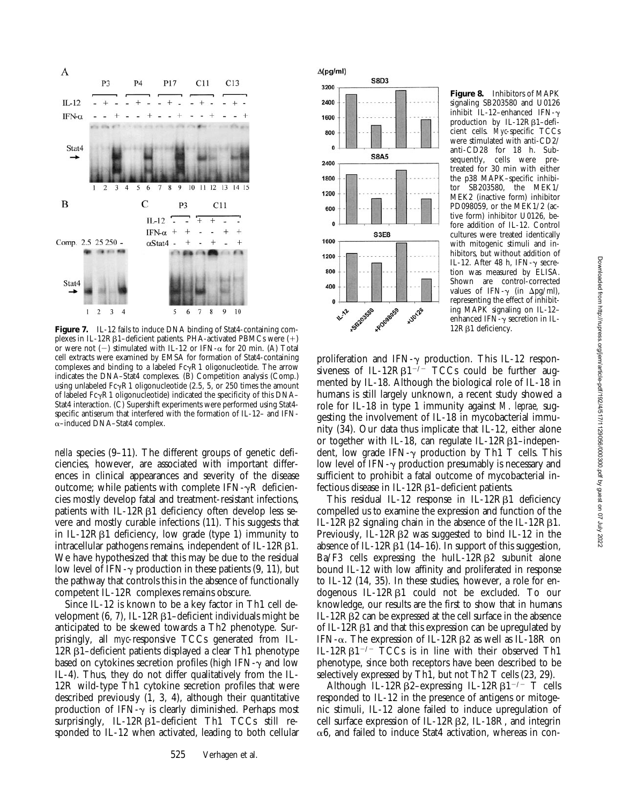

plexes in IL-12R $\beta$ 1-deficient patients. PHA-activated PBMCs were  $(+)$ or were not  $(-)$  stimulated with IL-12 or IFN- $\alpha$  for 20 min. (A) Total cell extracts were examined by EMSA for formation of Stat4-containing complexes and binding to a labeled  $Fc\gamma R1$  oligonucleotide. The arrow indicates the DNA–Stat4 complexes. (B) Competition analysis (Comp.) using unlabeled  $Fc\gamma R1$  oligonucleotide (2.5, 5, or 250 times the amount of labeled  $Fc\gamma R1$  oligonucleotide) indicated the specificity of this DNA– Stat4 interaction. (C) Supershift experiments were performed using Stat4 specific antiserum that interfered with the formation of IL-12– and IFNa–induced DNA–Stat4 complex.

*nella* species (9–11). The different groups of genetic deficiencies, however, are associated with important differences in clinical appearances and severity of the disease outcome; while patients with complete IFN- $\gamma$ R deficiencies mostly develop fatal and treatment-resistant infections, patients with IL-12R<sub>B1</sub> deficiency often develop less severe and mostly curable infections (11). This suggests that in IL-12R $\beta$ 1 deficiency, low grade (type 1) immunity to intracellular pathogens remains, independent of IL-12RB1. We have hypothesized that this may be due to the residual low level of IFN- $\gamma$  production in these patients (9, 11), but the pathway that controls this in the absence of functionally competent IL-12R complexes remains obscure.

Since IL-12 is known to be a key factor in Th1 cell development  $(6, 7)$ , IL-12R $\beta$ 1-deficient individuals might be anticipated to be skewed towards a Th2 phenotype. Surprisingly, all *myc*-responsive TCCs generated from IL- $12R\beta1$ –deficient patients displayed a clear Th1 phenotype based on cytokines secretion profiles (high IFN- $\gamma$  and low IL-4). Thus, they do not differ qualitatively from the IL-12R wild-type Th1 cytokine secretion profiles that were described previously (1, 3, 4), although their quantitative production of IFN- $\gamma$  is clearly diminished. Perhaps most surprisingly,  $IL-12R\beta1$ –deficient Th1 TCCs still responded to IL-12 when activated, leading to both cellular



**Figure 8.** Inhibitors of MAPK signaling SB203580 and U0126 inhibit  $IL-12$ -enhanced IFN- $\gamma$ production by IL-12R<sub>B1</sub>-deficient cells. *Myc*-specific TCCs were stimulated with anti-CD2/ anti-CD28 for 18 h. Subsequently, cells were pretreated for 30 min with either the p38 MAPK–specific inhibitor SB203580, the MEK1/ MEK2 (inactive form) inhibitor PD098059, or the MEK1/2 (active form) inhibitor U0126, before addition of IL-12. Control cultures were treated identically with mitogenic stimuli and inhibitors, but without addition of IL-12. After 48 h, IFN- $\gamma$  secretion was measured by ELISA. Shown are control-corrected values of IFN- $\gamma$  (in  $\Delta$ pg/ml), representing the effect of inhibiting MAPK signaling on IL-12– enhanced IFN- $\gamma$  secretion in IL-

proliferation and IFN- $\gamma$  production. This IL-12 responsiveness of IL-12R $\beta$ 1<sup>-/-</sup> TCCs could be further augmented by IL-18. Although the biological role of IL-18 in humans is still largely unknown, a recent study showed a role for IL-18 in type 1 immunity against *M*. *leprae,* suggesting the involvement of IL-18 in mycobacterial immunity (34). Our data thus implicate that IL-12, either alone or together with IL-18, can regulate IL-12 $R\beta$ 1-independent, low grade IFN- $\gamma$  production by Th1 T cells. This low level of IFN- $\gamma$  production presumably is necessary and sufficient to prohibit a fatal outcome of mycobacterial infectious disease in IL-12RB1-deficient patients.

This residual IL-12 response in IL-12R<sub>B1</sub> deficiency compelled us to examine the expression and function of the IL-12R $\beta$ 2 signaling chain in the absence of the IL-12R $\beta$ 1. Previously, IL-12R $\beta$ 2 was suggested to bind IL-12 in the absence of IL-12R $\beta$ 1 (14–16). In support of this suggestion,  $Ba/F3$  cells expressing the huIL-12R $\beta$ 2 subunit alone bound IL-12 with low affinity and proliferated in response to IL-12 (14, 35). In these studies, however, a role for endogenous IL-12Rb1 could not be excluded. To our knowledge, our results are the first to show that in humans  $IL-12R\beta2$  can be expressed at the cell surface in the absence of IL-12 $R\beta1$  and that this expression can be upregulated by IFN- $\alpha$ . The expression of IL-12R $\beta$ 2 as well as IL-18R on IL-12R $\beta$ 1<sup>-/-</sup> TCCs is in line with their observed Th1 phenotype, since both receptors have been described to be selectively expressed by Th1, but not Th2 T cells (23, 29).

Although IL-12R $\beta$ 2-expressing IL-12R $\beta$ 1<sup>-/-</sup> T cells responded to IL-12 in the presence of antigens or mitogenic stimuli, IL-12 alone failed to induce upregulation of cell surface expression of IL-12Rb2, IL-18R, and integrin  $\alpha$ 6, and failed to induce Stat4 activation, whereas in con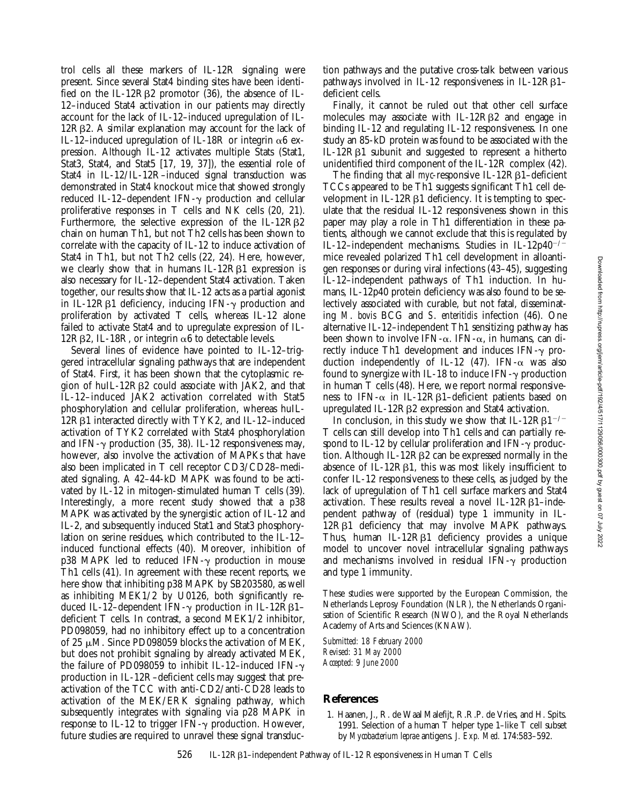trol cells all these markers of IL-12R signaling were present. Since several Stat4 binding sites have been identified on the IL-12R $\beta$ 2 promotor (36), the absence of IL-12–induced Stat4 activation in our patients may directly account for the lack of IL-12–induced upregulation of IL-12RB2. A similar explanation may account for the lack of IL-12-induced upregulation of IL-18R or integrin  $\alpha$ 6 expression. Although IL-12 activates multiple Stats (Stat1, Stat3, Stat4, and Stat5 [17, 19, 37]), the essential role of Stat4 in IL-12/IL-12R–induced signal transduction was demonstrated in Stat4 knockout mice that showed strongly reduced IL-12-dependent IFN- $\gamma$  production and cellular proliferative responses in T cells and NK cells (20, 21). Furthermore, the selective expression of the IL-12RB2 chain on human Th1, but not Th2 cells has been shown to correlate with the capacity of IL-12 to induce activation of Stat4 in Th1, but not Th2 cells (22, 24). Here, however, we clearly show that in humans  $IL-12R\beta1$  expression is also necessary for IL-12–dependent Stat4 activation. Taken together, our results show that IL-12 acts as a partial agonist in IL-12R $\beta$ 1 deficiency, inducing IFN- $\gamma$  production and proliferation by activated T cells, whereas IL-12 alone failed to activate Stat4 and to upregulate expression of IL-12R $\beta$ 2, IL-18R, or integrin  $\alpha$ 6 to detectable levels.

Several lines of evidence have pointed to IL-12–triggered intracellular signaling pathways that are independent of Stat4. First, it has been shown that the cytoplasmic region of huIL-12R $\beta$ 2 could associate with JAK2, and that IL-12–induced JAK2 activation correlated with Stat5 phosphorylation and cellular proliferation, whereas huIL-12Rb1 interacted directly with TYK2, and IL-12–induced activation of TYK2 correlated with Stat4 phosphorylation and IFN- $\gamma$  production (35, 38). IL-12 responsiveness may, however, also involve the activation of MAPKs that have also been implicated in T cell receptor CD3/CD28–mediated signaling. A 42–44-kD MAPK was found to be activated by IL-12 in mitogen-stimulated human T cells (39). Interestingly, a more recent study showed that a p38 MAPK was activated by the synergistic action of IL-12 and IL-2, and subsequently induced Stat1 and Stat3 phosphorylation on serine residues, which contributed to the IL-12– induced functional effects (40). Moreover, inhibition of  $p38$  MAPK led to reduced IFN- $\gamma$  production in mouse Th1 cells (41). In agreement with these recent reports, we here show that inhibiting p38 MAPK by SB203580, as well as inhibiting MEK1/2 by U0126, both significantly reduced IL-12–dependent IFN- $\gamma$  production in IL-12R $\beta$ 1– deficient T cells. In contrast, a second MEK1/2 inhibitor, PD098059, had no inhibitory effect up to a concentration of 25  $\mu$ M. Since PD098059 blocks the activation of MEK, but does not prohibit signaling by already activated MEK, the failure of PD098059 to inhibit IL-12-induced IFN- $\gamma$ production in IL-12R–deficient cells may suggest that preactivation of the TCC with anti-CD2/anti-CD28 leads to activation of the MEK/ERK signaling pathway, which subsequently integrates with signaling via p28 MAPK in response to IL-12 to trigger IFN- $\gamma$  production. However, future studies are required to unravel these signal transduction pathways and the putative cross-talk between various pathways involved in IL-12 responsiveness in IL-12R $\beta$ 1– deficient cells.

Finally, it cannot be ruled out that other cell surface molecules may associate with IL-12RB2 and engage in binding IL-12 and regulating IL-12 responsiveness. In one study an 85-kD protein was found to be associated with the IL-12Rb1 subunit and suggested to represent a hitherto unidentified third component of the IL-12R complex (42).

The finding that all *myc*-responsive IL-12R<sub>B1</sub>-deficient TCCs appeared to be Th1 suggests significant Th1 cell development in  $IL-12R\beta1$  deficiency. It is tempting to speculate that the residual IL-12 responsiveness shown in this paper may play a role in Th1 differentiation in these patients, although we cannot exclude that this is regulated by IL-12-independent mechanisms. Studies in IL-12p40<sup>-/-</sup> mice revealed polarized Th1 cell development in alloantigen responses or during viral infections (43–45), suggesting IL-12–independent pathways of Th1 induction. In humans, IL-12p40 protein deficiency was also found to be selectively associated with curable, but not fatal, disseminating *M*. *bovis* BCG and *S*. *enteritidis* infection (46). One alternative IL-12–independent Th1 sensitizing pathway has been shown to involve IFN- $\alpha$ . IFN- $\alpha$ , in humans, can directly induce Th1 development and induces  $IFN-\gamma$  production independently of IL-12 (47). IFN- $\alpha$  was also found to synergize with IL-18 to induce IFN- $\gamma$  production in human T cells (48). Here, we report normal responsiveness to IFN- $\alpha$  in IL-12R $\beta$ 1-deficient patients based on upregulated IL-12Rb2 expression and Stat4 activation.

In conclusion, in this study we show that IL-12R $\beta$ 1<sup>-/-</sup> T cells can still develop into Th1 cells and can partially respond to IL-12 by cellular proliferation and IFN- $\gamma$  production. Although IL-12R $\beta$ 2 can be expressed normally in the absence of IL-12R $\beta$ 1, this was most likely insufficient to confer IL-12 responsiveness to these cells, as judged by the lack of upregulation of Th1 cell surface markers and Stat4 activation. These results reveal a novel IL-12R $\beta$ 1-independent pathway of (residual) type 1 immunity in IL-12RB1 deficiency that may involve MAPK pathways. Thus, human IL-12 $R\beta1$  deficiency provides a unique model to uncover novel intracellular signaling pathways and mechanisms involved in residual IFN- $\gamma$  production and type 1 immunity.

These studies were supported by the European Commission, the Netherlands Leprosy Foundation (NLR), the Netherlands Organisation of Scientific Research (NWO), and the Royal Netherlands Academy of Arts and Sciences (KNAW).

*Submitted: 18 February 2000 Revised: 31 May 2000 Accepted: 9 June 2000*

# **References**

1. Haanen, J., R. de Waal Malefijt, R.R.P. de Vries, and H. Spits. 1991. Selection of a human T helper type 1–like T cell subset by *Mycobacterium leprae* antigens. *J. Exp. Med.* 174:583–592.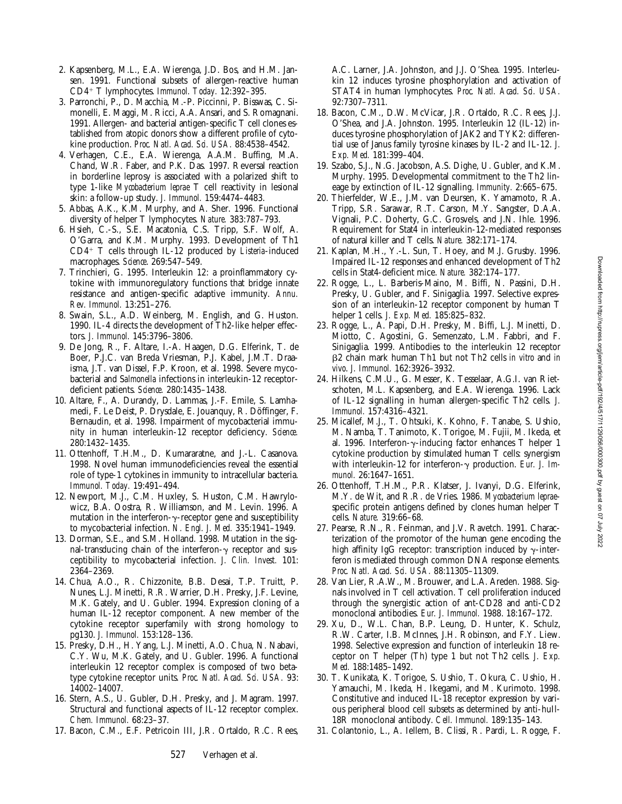- 2. Kapsenberg, M.L., E.A. Wierenga, J.D. Bos, and H.M. Jansen. 1991. Functional subsets of allergen-reactive human CD4<sup>1</sup> T lymphocytes. *Immunol. Today.* 12:392–395.
- 3. Parronchi, P., D. Macchia, M.-P. Piccinni, P. Bisswas, C. Simonelli, E. Maggi, M. Ricci, A.A. Ansari, and S. Romagnani. 1991. Allergen- and bacterial antigen-specific T cell clones established from atopic donors show a different profile of cytokine production. *Proc. Natl. Acad. Sci. USA.* 88:4538–4542.
- 4. Verhagen, C.E., E.A. Wierenga, A.A.M. Buffing, M.A. Chand, W.R. Faber, and P.K. Das. 1997. Reversal reaction in borderline leprosy is associated with a polarized shift to type 1-like *Mycobacterium leprae* T cell reactivity in lesional skin: a follow-up study. *J. Immunol.* 159:4474–4483.
- 5. Abbas, A.K., K.M. Murphy, and A. Sher. 1996. Functional diversity of helper T lymphocytes. *Nature.* 383:787–793.
- 6. Hsieh, C.-S., S.E. Macatonia, C.S. Tripp, S.F. Wolf, A. O'Garra, and K.M. Murphy. 1993. Development of Th1 CD4<sup>1</sup> T cells through IL-12 produced by *Listeria*-induced macrophages. *Science*. 269:547–549.
- 7. Trinchieri, G. 1995. Interleukin 12: a proinflammatory cytokine with immunoregulatory functions that bridge innate resistance and antigen-specific adaptive immunity. *Annu. Rev. Immunol.* 13:251–276.
- 8. Swain, S.L., A.D. Weinberg, M. English, and G. Huston. 1990. IL-4 directs the development of Th2-like helper effectors. *J. Immunol.* 145:3796–3806.
- 9. De Jong, R., F. Altare, I.-A. Haagen, D.G. Elferink, T. de Boer, P.J.C. van Breda Vriesman, P.J. Kabel, J.M.T. Draaisma, J.T. van Dissel, F.P. Kroon, et al. 1998. Severe mycobacterial and S*almonella* infections in interleukin-12 receptordeficient patients. *Science.* 280:1435–1438.
- 10. Altare, F., A. Durandy, D. Lammas, J.-F. Emile, S. Lamhamedi, F. Le Deist, P. Drysdale, E. Jouanquy, R. Döffinger, F. Bernaudin, et al. 1998. Impairment of mycobacterial immunity in human interleukin-12 receptor deficiency. *Science.* 280:1432–1435.
- 11. Ottenhoff, T.H.M., D. Kumararatne, and J.-L. Casanova. 1998. Novel human immunodeficiencies reveal the essential role of type-1 cytokines in immunity to intracellular bacteria. *Immunol. Today.* 19:491–494.
- 12. Newport, M.J., C.M. Huxley, S. Huston, C.M. Hawrylowicz, B.A. Oostra, R. Williamson, and M. Levin. 1996. A mutation in the interferon- $\gamma$ -receptor gene and susceptibility to mycobacterial infection. *N. Engl. J. Med.* 335:1941–1949.
- 13. Dorman, S.E., and S.M. Holland. 1998. Mutation in the signal-transducing chain of the interferon- $\gamma$  receptor and susceptibility to mycobacterial infection. *J. Clin. Invest.* 101: 2364–2369.
- 14. Chua, A.O., R. Chizzonite, B.B. Desai, T.P. Truitt, P. Nunes, L.J. Minetti, R.R. Warrier, D.H. Presky, J.F. Levine, M.K. Gately, and U. Gubler. 1994. Expression cloning of a human IL-12 receptor component. A new member of the cytokine receptor superfamily with strong homology to pg130. *J. Immunol.* 153:128–136.
- 15. Presky, D.H., H. Yang, L.J. Minetti, A.O. Chua, N. Nabavi, C.Y. Wu, M.K. Gately, and U. Gubler. 1996. A functional interleukin 12 receptor complex is composed of two betatype cytokine receptor units. *Proc. Natl. Acad. Sci. USA.* 93: 14002–14007.
- 16. Stern, A.S., U. Gubler, D.H. Presky, and J. Magram. 1997. Structural and functional aspects of IL-12 receptor complex. *Chem. Immunol.* 68:23–37.
- 17. Bacon, C.M., E.F. Petricoin III, J.R. Ortaldo, R.C. Rees,

A.C. Larner, J.A. Johnston, and J.J. O'Shea. 1995. Interleukin 12 induces tyrosine phosphorylation and activation of STAT4 in human lymphocytes. *Proc. Natl. Acad. Sci. USA.* 92:7307–7311.

- 18. Bacon, C.M., D.W. McVicar, J.R. Ortaldo, R.C. Rees, J.J. O'Shea, and J.A. Johnston. 1995. Interleukin 12 (IL-12) induces tyrosine phosphorylation of JAK2 and TYK2: differential use of Janus family tyrosine kinases by IL-2 and IL-12. *J. Exp. Med.* 181:399–404.
- 19. Szabo, S.J., N.G. Jacobson, A.S. Dighe, U. Gubler, and K.M. Murphy. 1995. Developmental commitment to the Th2 lineage by extinction of IL-12 signalling. *Immunity.* 2:665–675.
- 20. Thierfelder, W.E., J.M. van Deursen, K. Yamamoto, R.A. Tripp, S.R. Sarawar, R.T. Carson, M.Y. Sangster, D.A.A. Vignali, P.C. Doherty, G.C. Grosvels, and J.N. Ihle. 1996. Requirement for Stat4 in interleukin-12-mediated responses of natural killer and T cells. *Nature.* 382:171–174.
- 21. Kaplan, M.H., Y.-L. Sun, T. Hoey, and M.J. Grusby. 1996. Impaired IL-12 responses and enhanced development of Th2 cells in Stat4-deficient mice. *Nature.* 382:174–177.
- 22. Rogge, L., L. Barberis-Maino, M. Biffi, N. Passini, D.H. Presky, U. Gubler, and F. Sinigaglia. 1997. Selective expression of an interleukin-12 receptor component by human T helper 1 cells. *J. Exp. Med.* 185:825–832.
- 23. Rogge, L., A. Papi, D.H. Presky, M. Biffi, L.J. Minetti, D. Miotto, C. Agostini, G. Semenzato, L.M. Fabbri, and F. Sinigaglia. 1999. Antibodies to the interleukin 12 receptor b2 chain mark human Th1 but not Th2 cells *in vitro* and *in vivo*. *J. Immunol.* 162:3926–3932.
- 24. Hilkens, C.M.U., G. Messer, K. Tesselaar, A.G.I. van Rietschoten, M.L. Kapsenberg, and E.A. Wierenga. 1996. Lack of IL-12 signalling in human allergen-specific Th2 cells. *J. Immunol.* 157:4316–4321.
- 25. Micallef, M.J., T. Ohtsuki, K. Kohno, F. Tanabe, S. Ushio, M. Namba, T. Tanimoto, K. Torigoe, M. Fujii, M. Ikeda, et al. 1996. Interferon- $\gamma$ -inducing factor enhances T helper 1 cytokine production by stimulated human T cells: synergism with interleukin-12 for interferon-g production. *Eur. J. Immunol.* 26:1647–1651.
- 26. Ottenhoff, T.H.M., P.R. Klatser, J. Ivanyi, D.G. Elferink, M.Y. de Wit, and R.R. de Vries. 1986. *Mycobacterium leprae*specific protein antigens defined by clones human helper T cells. *Nature.* 319:66–68.
- 27. Pearse, R.N., R. Feinman, and J.V. Ravetch. 1991. Characterization of the promotor of the human gene encoding the high affinity IgG receptor: transcription induced by  $\gamma$ -interferon is mediated through common DNA response elements*. Proc. Natl. Acad. Sci. USA.* 88:11305–11309.
- 28. Van Lier, R.A.W., M. Brouwer, and L.A. Areden. 1988. Signals involved in T cell activation. T cell proliferation induced through the synergistic action of ant-CD28 and anti-CD2 monoclonal antibodies. *Eur. J. Immunol.* 1988. 18:167–172.
- 29. Xu, D., W.L. Chan, B.P. Leung, D. Hunter, K. Schulz, R.W. Carter, I.B. McInnes, J.H. Robinson, and F.Y. Liew. 1998. Selective expression and function of interleukin 18 receptor on T helper (Th) type 1 but not Th2 cells. *J. Exp. Med.* 188:1485–1492.
- 30. T. Kunikata, K. Torigoe, S. Ushio, T. Okura, C. Ushio, H. Yamauchi, M. Ikeda, H. Ikegami, and M. Kurimoto. 1998. Constitutive and induced IL-18 receptor expression by various peripheral blood cell subsets as determined by anti-huIl-18R monoclonal antibody. *Cell. Immunol.* 189:135–143.
- 31. Colantonio, L., A. Iellem, B. Clissi, R. Pardi, L. Rogge, F.